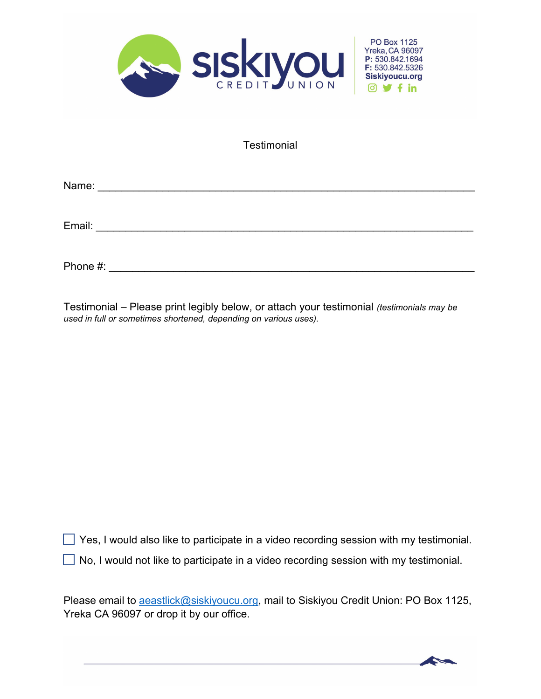

**Testimonial** 

Name: \_\_\_\_\_\_\_\_\_\_\_\_\_\_\_\_\_\_\_\_\_\_\_\_\_\_\_\_\_\_\_\_\_\_\_\_\_\_\_\_\_\_\_\_\_\_\_\_\_\_\_\_\_\_\_\_\_\_\_\_\_\_\_\_

Email: \_\_\_\_\_\_\_\_\_\_\_\_\_\_\_\_\_\_\_\_\_\_\_\_\_\_\_\_\_\_\_\_\_\_\_\_\_\_\_\_\_\_\_\_\_\_\_\_\_\_\_\_\_\_\_\_\_\_\_\_\_\_\_\_

Phone #: \_\_\_\_\_\_\_\_\_\_\_\_\_\_\_\_\_\_\_\_\_\_\_\_\_\_\_\_\_\_\_\_\_\_\_\_\_\_\_\_\_\_\_\_\_\_\_\_\_\_\_\_\_\_\_\_\_\_\_\_\_\_

Testimonial – Please print legibly below, or attach your testimonial *(testimonials may be used in full or sometimes shortened, depending on various uses).*

 $\Box$  Yes, I would also like to participate in a video recording session with my testimonial.

 $\Box$  No, I would not like to participate in a video recording session with my testimonial.

Please email to **aeastlick@siskiyoucu.org**, mail to Siskiyou Credit Union: PO Box 1125, Yreka CA 96097 or drop it by our office.